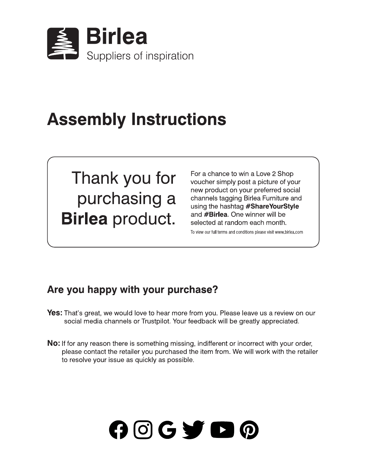

## **Assembly Instructions**

Thank you for purchasing a **Birlea** product.

For a chance to win a Love 2 Shop voucher simply post a picture of your new product on your preferred social channels tagging Birlea Furniture and using the hashtag #ShareYourStyle and **#Birlea**. One winner will be selected at random each month.

To view our full terms and conditions please visit www.birlea.com

#### Are you happy with your purchase?

**Yes:** That's great, we would love to hear more from you. Please leave us a review on our social media channels or Trustpilot. Your feedback will be greatly appreciated.

No: If for any reason there is something missing, indifferent or incorrect with your order, please contact the retailer you purchased the item from. We will work with the retailer to resolve your issue as quickly as possible.

# $O$   $O$   $G$   $\blacktriangleright$   $O$   $O$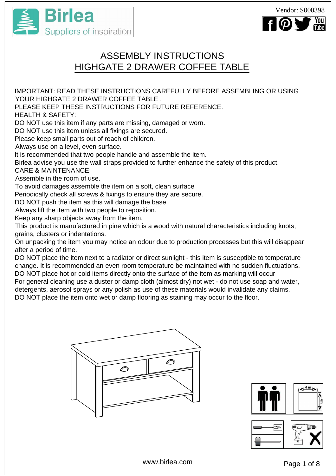



### ASSEMBLY INSTRUCTIONS HIGHGATE 2 DRAWER COFFEE TABLE

IMPORTANT: READ THESE INSTRUCTIONS CAREFULLY BEFORE ASSEMBLING OR USING YOUR HIGHGATE 2 DRAWER COFFEE TABLE.

PLEASE KEEP THESE INSTRUCTIONS FOR FUTURE REFERENCE.

HEALTH & SAFETY:

DO NOT use this item if any parts are missing, damaged or worn.

DO NOT use this item unless all fixings are secured.

Please keep small parts out of reach of children.

Always use on a level, even surface.

It is recommended that two people handle and assemble the item.

Birlea advise you use the wall straps provided to further enhance the safety of this product. CARE & MAINTENANCE:

Assemble in the room of use.

To avoid damages assemble the item on a soft, clean surface

Periodically check all screws & fixings to ensure they are secure.

DO NOT push the item as this will damage the base.

Always lift the item with two people to reposition.

Keep any sharp objects away from the item.

This product is manufactured in pine which is a wood with natural characteristics including knots, grains, clusters or indentations.

On unpacking the item you may notice an odour due to production processes but this will disappear after a period of time.

DO NOT place the item next to a radiator or direct sunlight - this item is susceptible to temperature change. It is recommended an even room temperature be maintained with no sudden fluctuations. DO NOT place hot or cold items directly onto the surface of the item as marking will occur

For general cleaning use a duster or damp cloth (almost dry) not wet - do not use soap and water, detergents, aerosol sprays or any polish as use of these materials would invalidate any claims. DO NOT place the item onto wet or damp flooring as staining may occur to the floor.





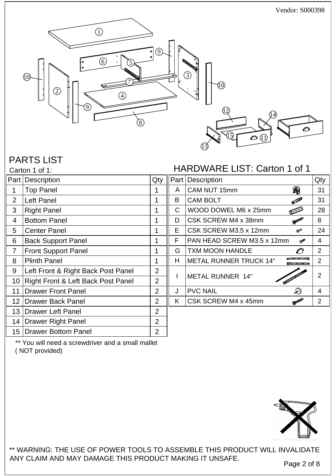

#### PARTS LIST

#### HARDWARE LIST: Carton 1 of 1

| Part            | Description                        | Qty            |    | Part   Description                           | Qty            |
|-----------------|------------------------------------|----------------|----|----------------------------------------------|----------------|
| 1               | <b>Top Panel</b>                   |                | A  | 魔<br>CAM NUT 15mm                            | 31             |
| 2               | Left Panel                         | 1              | B  | <b>CAM BOLT</b><br><b>ONEW</b>               | 31             |
| 3               | <b>Right Panel</b>                 |                | C  | WOOD DOWEL M6 x 25mm<br>⋐                    | 28             |
| $\overline{4}$  | <b>Bottom Panel</b>                |                | D  | CSK SCREW M4 x 38mm<br><b>Report Follows</b> | 8              |
| 5               | <b>Center Panel</b>                |                | Е  | CSK SCREW M3.5 x 12mm<br><b>RADIO</b>        | 24             |
| 6               | <b>Back Support Panel</b>          | 1              | F  | PAN HEAD SCREW M3.5 x 12mm<br>COMERCY        | $\overline{4}$ |
| 7               | <b>Front Support Panel</b>         |                | G  | <b>TXM MOON HANDLE</b><br>O                  | $\overline{2}$ |
| 8               | <b>Plinth Panel</b>                |                | H  | <b>METAL RUNNER TRUCK 14"</b>                | $\overline{2}$ |
| 9               | Left Front & Right Back Post Panel | 2              |    | <b>METAL RUNNER 14"</b>                      | $\overline{2}$ |
| 10 <sup>°</sup> | Right Front & Left Back Post Panel | 2              |    |                                              |                |
| 11              | <b>Drawer Front Panel</b>          | 2              | J  | $\mathcal{D}$<br><b>PVC NAIL</b>             | $\overline{4}$ |
| 12 <sup>2</sup> | <b>Drawer Back Panel</b>           | $\overline{2}$ | K. | CSK SCREW M4 x 45mm<br><b>Column</b>         | $\overline{2}$ |
|                 | 13   Drawer Left Panel             | 2              |    |                                              |                |
| 14              | <b>Drawer Right Panel</b>          | $\overline{2}$ |    |                                              |                |
| 15              | <b>Drawer Bottom Panel</b>         | 2              |    |                                              |                |
|                 |                                    |                |    |                                              |                |

\*\* You will need a screwdriver and a small mallet ( NOT provided)



\*\* WARNING: THE USE OF POWER TOOLS TO ASSEMBLE THIS PRODUCT WILL INVALIDATE ANY CLAIM AND MAY DAMAGE THIS PRODUCT MAKING IT UNSAFE.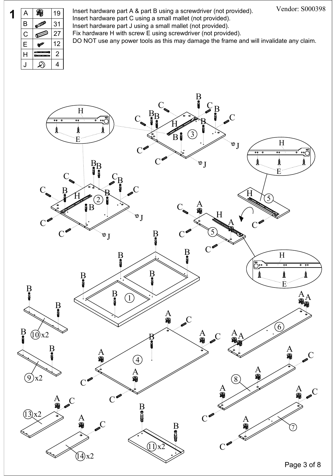

**1** A  $\bigotimes_{\alpha}$  19 Insert hardware part A & part B using a screwdriver (not provided). Insert hardware part C using a small mallet (not provided). **B**  $\sqrt{31}$  Insert hardware part J using a small mallet (not provided).  $\mathsf{C} \ \ \blacksquare$  27  $\mid$  Fix hardware H with screw E using screwdriver (not provided). Insert hardware part A & part B using a screwdriver (not provided).  $\overline{\mathsf{E}}$   $\overline{\mathsf{w}^*}$  12 DO NOT use any power tools as this may damage the frame and will invalidate any claim.

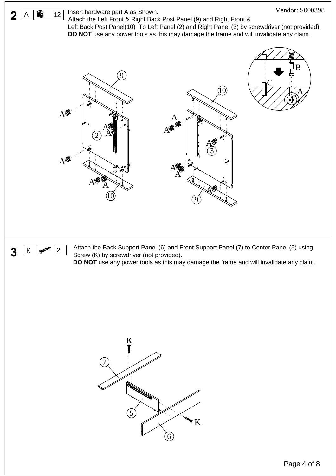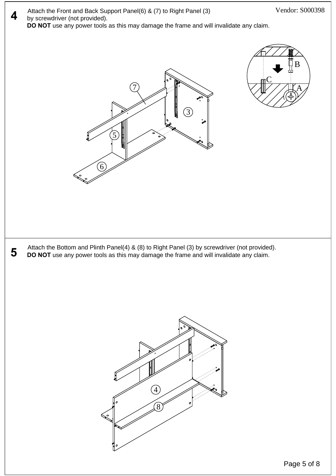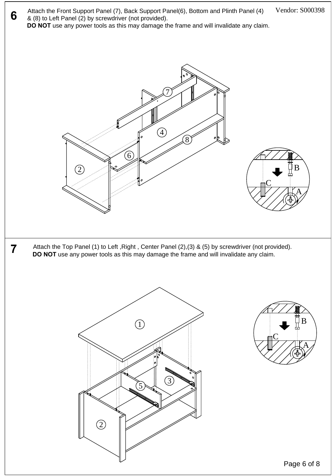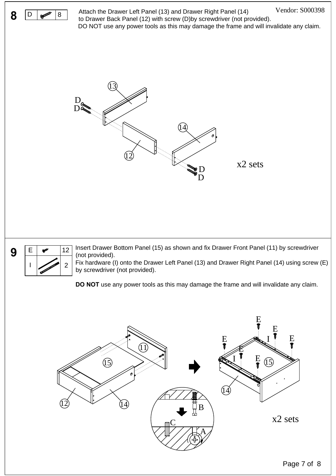



 $E \sim 12$  Insert Drawer Bottom Panel (15) as shown and fix Drawer Front Panel (11) by screwdriver (not provided).

Fix hardware (I) onto the Drawer Left Panel (13) and Drawer Right Panel (14) using screw (E) I 2 by screwdriver (not provided).

**DO NOT** use any power tools as this may damage the frame and will invalidate any claim.



Vendor: S000398